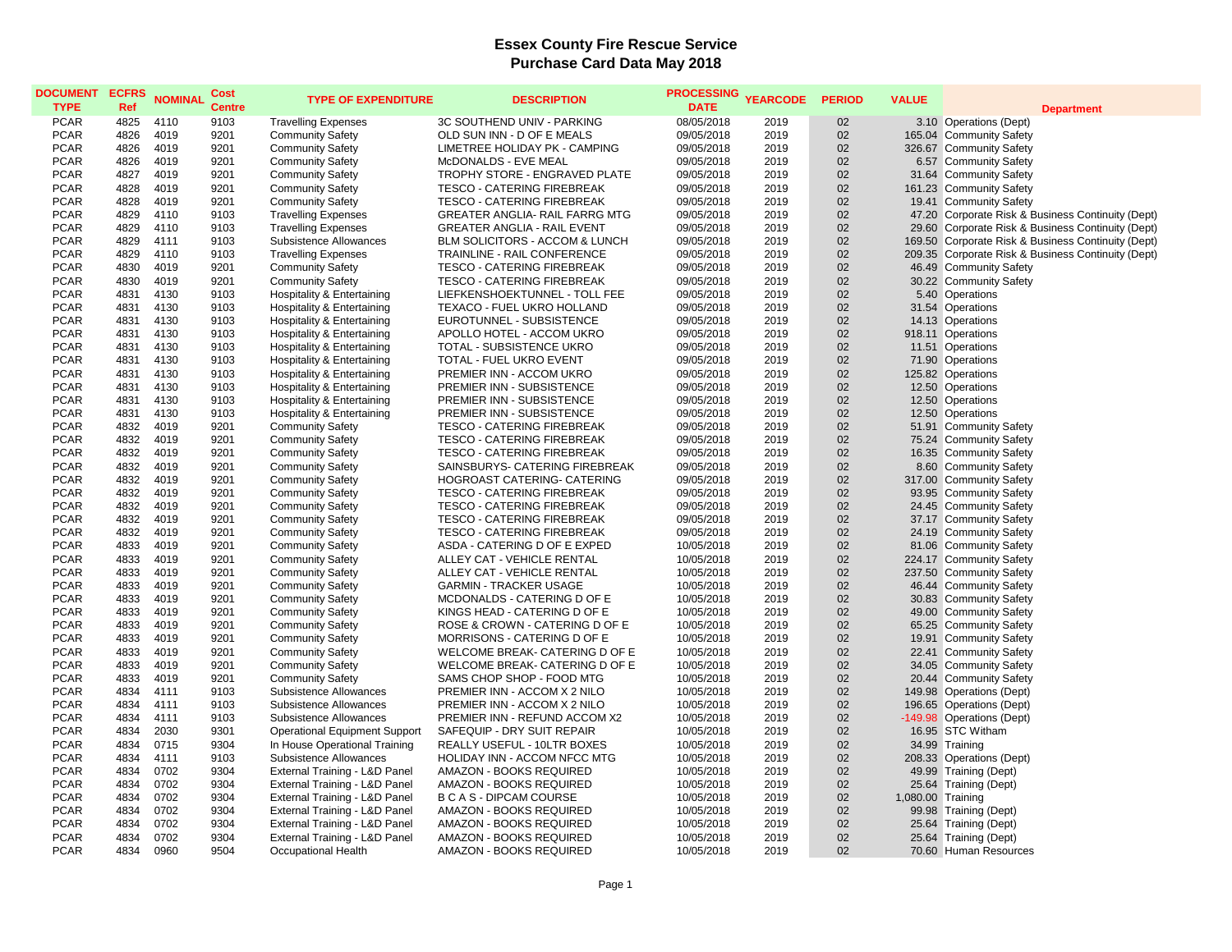| <b>DOCUMENT</b><br><b>TYPE</b> | <b>ECFRS</b><br>Ref | <b>NOMINAL</b> | Cost<br><b>Centre</b> | <b>TYPE OF EXPENDITURE</b>           | <b>DESCRIPTION</b>                 | PROCESSING YEARCODE<br><b>DATE</b> |      | <b>PERIOD</b> | <b>VALUE</b>      | <b>Department</b>                                  |
|--------------------------------|---------------------|----------------|-----------------------|--------------------------------------|------------------------------------|------------------------------------|------|---------------|-------------------|----------------------------------------------------|
| <b>PCAR</b>                    | 4825                | 4110           | 9103                  | <b>Travelling Expenses</b>           | 3C SOUTHEND UNIV - PARKING         | 08/05/2018                         | 2019 | 02            |                   | 3.10 Operations (Dept)                             |
| <b>PCAR</b>                    | 4826                | 4019           | 9201                  | <b>Community Safety</b>              | OLD SUN INN - D OF E MEALS         | 09/05/2018                         | 2019 | 02            |                   | 165.04 Community Safety                            |
| <b>PCAR</b>                    | 4826                | 4019           | 9201                  | <b>Community Safety</b>              | LIMETREE HOLIDAY PK - CAMPING      | 09/05/2018                         | 2019 | 02            |                   | 326.67 Community Safety                            |
| <b>PCAR</b>                    | 4826                | 4019           | 9201                  | <b>Community Safety</b>              | McDONALDS - EVE MEAL               | 09/05/2018                         | 2019 | 02            |                   | 6.57 Community Safety                              |
| <b>PCAR</b>                    | 4827                | 4019           | 9201                  | <b>Community Safety</b>              | TROPHY STORE - ENGRAVED PLATE      | 09/05/2018                         | 2019 | 02            |                   | 31.64 Community Safety                             |
| <b>PCAR</b>                    | 4828                | 4019           | 9201                  | <b>Community Safety</b>              | <b>TESCO - CATERING FIREBREAK</b>  | 09/05/2018                         | 2019 | 02            |                   | 161.23 Community Safety                            |
| <b>PCAR</b>                    | 4828                | 4019           | 9201                  | <b>Community Safety</b>              | <b>TESCO - CATERING FIREBREAK</b>  | 09/05/2018                         | 2019 | 02            |                   | 19.41 Community Safety                             |
| <b>PCAR</b>                    | 4829                | 4110           | 9103                  | <b>Travelling Expenses</b>           | GREATER ANGLIA- RAIL FARRG MTG     | 09/05/2018                         | 2019 | 02            |                   | 47.20 Corporate Risk & Business Continuity (Dept)  |
| <b>PCAR</b>                    | 4829                | 4110           | 9103                  | <b>Travelling Expenses</b>           | <b>GREATER ANGLIA - RAIL EVENT</b> | 09/05/2018                         | 2019 | 02            |                   | 29.60 Corporate Risk & Business Continuity (Dept)  |
| <b>PCAR</b>                    | 4829                | 4111           | 9103                  | Subsistence Allowances               | BLM SOLICITORS - ACCOM & LUNCH     | 09/05/2018                         | 2019 | 02            |                   | 169.50 Corporate Risk & Business Continuity (Dept) |
| <b>PCAR</b>                    | 4829                | 4110           | 9103                  | <b>Travelling Expenses</b>           | TRAINLINE - RAIL CONFERENCE        | 09/05/2018                         | 2019 | 02            |                   | 209.35 Corporate Risk & Business Continuity (Dept) |
| <b>PCAR</b>                    | 4830                | 4019           | 9201                  | <b>Community Safety</b>              | TESCO - CATERING FIREBREAK         | 09/05/2018                         | 2019 | 02            |                   | 46.49 Community Safety                             |
| <b>PCAR</b>                    | 4830                | 4019           | 9201                  | <b>Community Safety</b>              | <b>TESCO - CATERING FIREBREAK</b>  | 09/05/2018                         | 2019 | 02            |                   | 30.22 Community Safety                             |
| <b>PCAR</b>                    | 4831                | 4130           | 9103                  | Hospitality & Entertaining           | LIEFKENSHOEKTUNNEL - TOLL FEE      | 09/05/2018                         | 2019 | 02            |                   | 5.40 Operations                                    |
| <b>PCAR</b>                    | 4831                | 4130           | 9103                  | Hospitality & Entertaining           | TEXACO - FUEL UKRO HOLLAND         | 09/05/2018                         | 2019 | 02            |                   | 31.54 Operations                                   |
| <b>PCAR</b>                    | 4831                | 4130           | 9103                  | Hospitality & Entertaining           | EUROTUNNEL - SUBSISTENCE           | 09/05/2018                         | 2019 | 02            |                   | 14.13 Operations                                   |
| <b>PCAR</b>                    | 4831                | 4130           | 9103                  | Hospitality & Entertaining           | APOLLO HOTEL - ACCOM UKRO          | 09/05/2018                         | 2019 | 02            |                   | 918.11 Operations                                  |
| <b>PCAR</b>                    | 4831                | 4130           | 9103                  | Hospitality & Entertaining           | TOTAL - SUBSISTENCE UKRO           | 09/05/2018                         | 2019 | 02            |                   | 11.51 Operations                                   |
| <b>PCAR</b>                    | 4831                | 4130           | 9103                  | Hospitality & Entertaining           | TOTAL - FUEL UKRO EVENT            | 09/05/2018                         | 2019 | 02            |                   | 71.90 Operations                                   |
| <b>PCAR</b>                    | 4831                | 4130           | 9103                  | Hospitality & Entertaining           | PREMIER INN - ACCOM UKRO           | 09/05/2018                         | 2019 | 02            |                   | 125.82 Operations                                  |
| <b>PCAR</b>                    | 4831                | 4130           | 9103                  | Hospitality & Entertaining           | PREMIER INN - SUBSISTENCE          | 09/05/2018                         | 2019 | 02            |                   | 12.50 Operations                                   |
| <b>PCAR</b>                    | 4831                | 4130           | 9103                  | Hospitality & Entertaining           | PREMIER INN - SUBSISTENCE          | 09/05/2018                         | 2019 | 02            |                   | 12.50 Operations                                   |
| <b>PCAR</b>                    | 4831                | 4130           | 9103                  | Hospitality & Entertaining           | PREMIER INN - SUBSISTENCE          | 09/05/2018                         | 2019 | 02            |                   | 12.50 Operations                                   |
| <b>PCAR</b>                    | 4832                | 4019           | 9201                  | <b>Community Safety</b>              | <b>TESCO - CATERING FIREBREAK</b>  | 09/05/2018                         | 2019 | 02            |                   | 51.91 Community Safety                             |
| <b>PCAR</b>                    | 4832                | 4019           | 9201                  | <b>Community Safety</b>              | TESCO - CATERING FIREBREAK         | 09/05/2018                         | 2019 | 02            |                   | 75.24 Community Safety                             |
| <b>PCAR</b>                    | 4832                | 4019           | 9201                  | <b>Community Safety</b>              | <b>TESCO - CATERING FIREBREAK</b>  | 09/05/2018                         | 2019 | 02            |                   | 16.35 Community Safety                             |
| <b>PCAR</b>                    | 4832                | 4019           | 9201                  | <b>Community Safety</b>              | SAINSBURYS- CATERING FIREBREAK     | 09/05/2018                         | 2019 | 02            |                   | 8.60 Community Safety                              |
| <b>PCAR</b>                    | 4832                | 4019           | 9201                  | <b>Community Safety</b>              | <b>HOGROAST CATERING- CATERING</b> | 09/05/2018                         | 2019 | 02            |                   | 317.00 Community Safety                            |
| <b>PCAR</b>                    | 4832                | 4019           | 9201                  | <b>Community Safety</b>              | <b>TESCO - CATERING FIREBREAK</b>  | 09/05/2018                         | 2019 | 02            |                   | 93.95 Community Safety                             |
| <b>PCAR</b>                    | 4832                | 4019           | 9201                  | <b>Community Safety</b>              | <b>TESCO - CATERING FIREBREAK</b>  | 09/05/2018                         | 2019 | 02            |                   | 24.45 Community Safety                             |
| <b>PCAR</b>                    | 4832                | 4019           | 9201                  | <b>Community Safety</b>              | <b>TESCO - CATERING FIREBREAK</b>  | 09/05/2018                         | 2019 | 02            |                   | 37.17 Community Safety                             |
| <b>PCAR</b>                    | 4832                | 4019           | 9201                  | <b>Community Safety</b>              | TESCO - CATERING FIREBREAK         | 09/05/2018                         | 2019 | 02            |                   | 24.19 Community Safety                             |
| <b>PCAR</b>                    | 4833                | 4019           | 9201                  | <b>Community Safety</b>              | ASDA - CATERING D OF E EXPED       | 10/05/2018                         | 2019 | 02            |                   | 81.06 Community Safety                             |
| <b>PCAR</b>                    | 4833                | 4019           | 9201                  | <b>Community Safety</b>              | ALLEY CAT - VEHICLE RENTAL         | 10/05/2018                         | 2019 | 02            |                   | 224.17 Community Safety                            |
| <b>PCAR</b>                    | 4833                | 4019           | 9201                  | <b>Community Safety</b>              | ALLEY CAT - VEHICLE RENTAL         | 10/05/2018                         | 2019 | 02            |                   | 237.50 Community Safety                            |
| <b>PCAR</b>                    | 4833                | 4019           | 9201                  | <b>Community Safety</b>              | <b>GARMIN - TRACKER USAGE</b>      | 10/05/2018                         | 2019 | 02            |                   | 46.44 Community Safety                             |
| <b>PCAR</b>                    | 4833                | 4019           | 9201                  | <b>Community Safety</b>              | MCDONALDS - CATERING D OF E        | 10/05/2018                         | 2019 | 02            |                   | 30.83 Community Safety                             |
| <b>PCAR</b>                    | 4833                | 4019           | 9201                  | <b>Community Safety</b>              | KINGS HEAD - CATERING D OF E       | 10/05/2018                         | 2019 | 02            |                   | 49.00 Community Safety                             |
| <b>PCAR</b>                    | 4833                | 4019           | 9201                  | <b>Community Safety</b>              | ROSE & CROWN - CATERING D OF E     | 10/05/2018                         | 2019 | 02            |                   | 65.25 Community Safety                             |
| <b>PCAR</b>                    | 4833                | 4019           | 9201                  | <b>Community Safety</b>              | MORRISONS - CATERING D OF E        | 10/05/2018                         | 2019 | 02            |                   | 19.91 Community Safety                             |
| <b>PCAR</b>                    | 4833                | 4019           | 9201                  | <b>Community Safety</b>              | WELCOME BREAK- CATERING D OF E     | 10/05/2018                         | 2019 | 02            |                   | 22.41 Community Safety                             |
| <b>PCAR</b>                    | 4833                | 4019           | 9201                  | <b>Community Safety</b>              | WELCOME BREAK- CATERING D OF E     | 10/05/2018                         | 2019 | 02            |                   | 34.05 Community Safety                             |
| <b>PCAR</b>                    | 4833                | 4019           | 9201                  | <b>Community Safety</b>              | SAMS CHOP SHOP - FOOD MTG          | 10/05/2018                         | 2019 | 02            |                   | 20.44 Community Safety                             |
| <b>PCAR</b>                    | 4834                | 4111           | 9103                  | Subsistence Allowances               | PREMIER INN - ACCOM X 2 NILO       | 10/05/2018                         | 2019 | 02            |                   | 149.98 Operations (Dept)                           |
| <b>PCAR</b>                    | 4834                | 4111           | 9103                  | Subsistence Allowances               | PREMIER INN - ACCOM X 2 NILO       | 10/05/2018                         | 2019 | 02            |                   | 196.65 Operations (Dept)                           |
| <b>PCAR</b>                    | 4834                | 4111           | 9103                  | Subsistence Allowances               | PREMIER INN - REFUND ACCOM X2      | 10/05/2018                         | 2019 | 02            |                   | -149.98 Operations (Dept)                          |
| <b>PCAR</b>                    | 4834                | 2030           | 9301                  | <b>Operational Equipment Support</b> | SAFEQUIP - DRY SUIT REPAIR         | 10/05/2018                         | 2019 | 02            |                   | 16.95 STC Witham                                   |
| <b>PCAR</b>                    | 4834                | 0715           | 9304                  | In House Operational Training        | REALLY USEFUL - 10LTR BOXES        | 10/05/2018                         | 2019 | 02            |                   | 34.99 Training                                     |
| <b>PCAR</b>                    | 4834                | 4111           | 9103                  | Subsistence Allowances               | HOLIDAY INN - ACCOM NFCC MTG       | 10/05/2018                         | 2019 | 02            |                   | 208.33 Operations (Dept)                           |
| <b>PCAR</b>                    | 4834                | 0702           | 9304                  | External Training - L&D Panel        | AMAZON - BOOKS REQUIRED            | 10/05/2018                         | 2019 | 02            |                   | 49.99 Training (Dept)                              |
| <b>PCAR</b>                    | 4834                | 0702           | 9304                  | External Training - L&D Panel        | AMAZON - BOOKS REQUIRED            | 10/05/2018                         | 2019 | 02            |                   | 25.64 Training (Dept)                              |
| <b>PCAR</b>                    | 4834                | 0702           | 9304                  | External Training - L&D Panel        | <b>B C A S - DIPCAM COURSE</b>     | 10/05/2018                         | 2019 | 02            | 1,080.00 Training |                                                    |
| <b>PCAR</b>                    | 4834                | 0702           | 9304                  | External Training - L&D Panel        | AMAZON - BOOKS REQUIRED            | 10/05/2018                         | 2019 | 02            |                   | 99.98 Training (Dept)                              |
| <b>PCAR</b>                    | 4834                | 0702           | 9304                  | External Training - L&D Panel        | AMAZON - BOOKS REQUIRED            | 10/05/2018                         | 2019 | 02            |                   | 25.64 Training (Dept)                              |
| <b>PCAR</b>                    | 4834                | 0702           | 9304                  | External Training - L&D Panel        | AMAZON - BOOKS REQUIRED            | 10/05/2018                         | 2019 | 02            |                   | 25.64 Training (Dept)                              |
| <b>PCAR</b>                    | 4834                | 0960           | 9504                  | Occupational Health                  | AMAZON - BOOKS REQUIRED            | 10/05/2018                         | 2019 | 02            |                   | 70.60 Human Resources                              |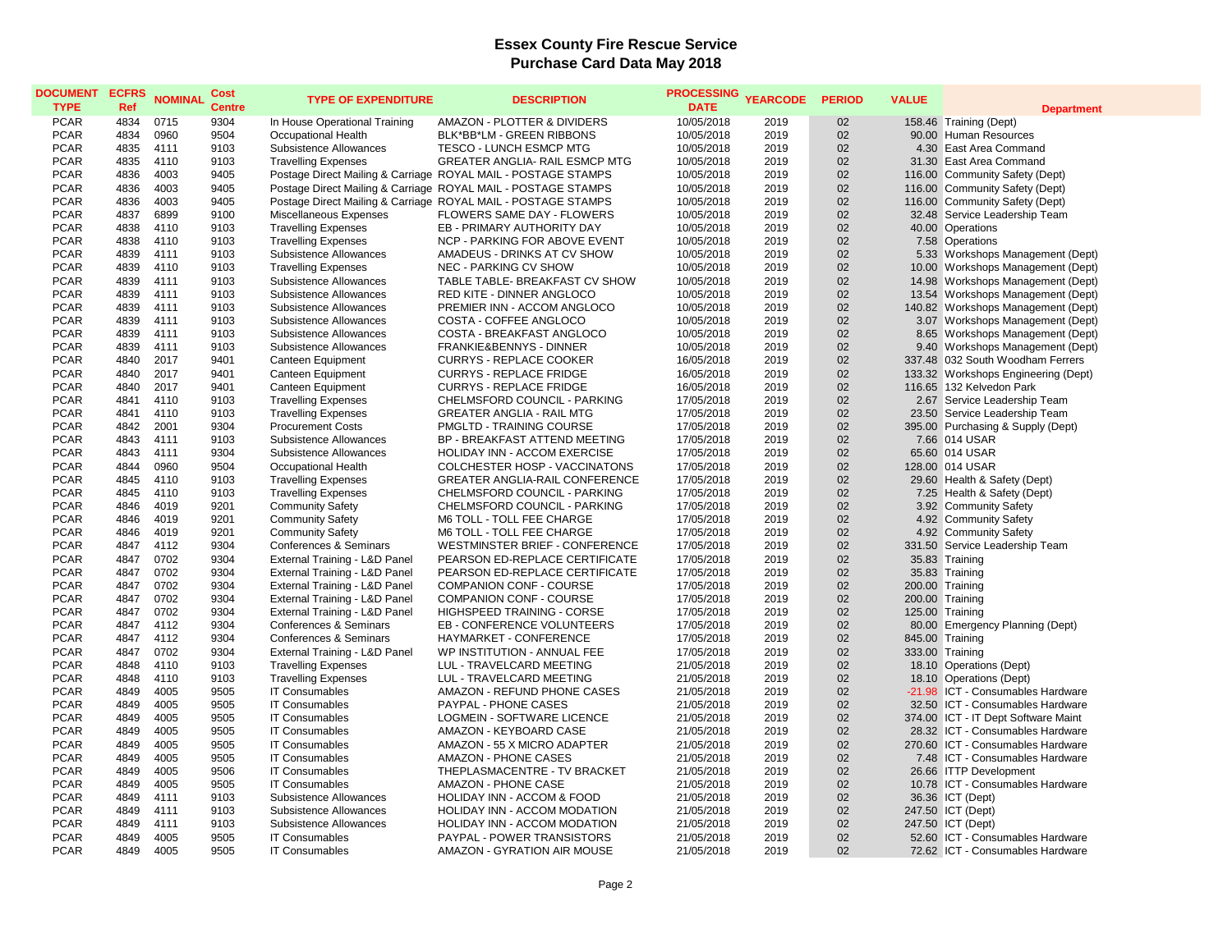| <b>DOCUMENT</b><br><b>TYPE</b> | <b>ECFRS</b><br>Ref | <b>NOMINAL</b> | Cost<br><b>Centre</b> | <b>TYPE OF EXPENDITURE</b>    | <b>DESCRIPTION</b>                                            | <b>PROCESSING</b><br><b>DATE</b> | <b>YEARCODE</b> | <b>PERIOD</b>   | <b>VALUE</b> | <b>Department</b>                   |
|--------------------------------|---------------------|----------------|-----------------------|-------------------------------|---------------------------------------------------------------|----------------------------------|-----------------|-----------------|--------------|-------------------------------------|
| <b>PCAR</b>                    | 4834                | 0715           | 9304                  | In House Operational Training | AMAZON - PLOTTER & DIVIDERS                                   | 10/05/2018                       | 2019            | 02              |              | 158.46 Training (Dept)              |
| <b>PCAR</b>                    | 4834                | 0960           | 9504                  | <b>Occupational Health</b>    | BLK*BB*LM - GREEN RIBBONS                                     | 10/05/2018                       | 2019            | 02              |              | 90.00 Human Resources               |
| <b>PCAR</b>                    | 4835                | 4111           | 9103                  | Subsistence Allowances        | TESCO - LUNCH ESMCP MTG                                       | 10/05/2018                       | 2019            | 02              |              | 4.30 East Area Command              |
| <b>PCAR</b>                    | 4835                | 4110           | 9103                  | <b>Travelling Expenses</b>    | GREATER ANGLIA- RAIL ESMCP MTG                                | 10/05/2018                       | 2019            | 02              |              | 31.30 East Area Command             |
| <b>PCAR</b>                    | 4836                | 4003           | 9405                  |                               | Postage Direct Mailing & Carriage ROYAL MAIL - POSTAGE STAMPS | 10/05/2018                       | 2019            | 02              |              | 116.00 Community Safety (Dept)      |
| <b>PCAR</b>                    | 4836                | 4003           | 9405                  |                               | Postage Direct Mailing & Carriage ROYAL MAIL - POSTAGE STAMPS | 10/05/2018                       | 2019            | 02              |              | 116.00 Community Safety (Dept)      |
| <b>PCAR</b>                    | 4836                | 4003           | 9405                  |                               | Postage Direct Mailing & Carriage ROYAL MAIL - POSTAGE STAMPS | 10/05/2018                       | 2019            | 02              |              | 116.00 Community Safety (Dept)      |
| <b>PCAR</b>                    | 4837                | 6899           | 9100                  | Miscellaneous Expenses        | FLOWERS SAME DAY - FLOWERS                                    | 10/05/2018                       | 2019            | 02              |              | 32.48 Service Leadership Team       |
| <b>PCAR</b>                    | 4838                | 4110           | 9103                  | <b>Travelling Expenses</b>    | EB - PRIMARY AUTHORITY DAY                                    | 10/05/2018                       | 2019            | 02              |              | 40.00 Operations                    |
| <b>PCAR</b>                    | 4838                | 4110           | 9103                  | <b>Travelling Expenses</b>    | NCP - PARKING FOR ABOVE EVENT                                 | 10/05/2018                       | 2019            | 02              |              | 7.58 Operations                     |
| <b>PCAR</b>                    | 4839                | 4111           | 9103                  | Subsistence Allowances        | AMADEUS - DRINKS AT CV SHOW                                   | 10/05/2018                       | 2019            | 02              |              | 5.33 Workshops Management (Dept)    |
| <b>PCAR</b>                    | 4839                | 4110           | 9103                  | <b>Travelling Expenses</b>    | NEC - PARKING CV SHOW                                         | 10/05/2018                       | 2019            | 02              |              | 10.00 Workshops Management (Dept)   |
| <b>PCAR</b>                    | 4839                | 4111           | 9103                  | Subsistence Allowances        | TABLE TABLE- BREAKFAST CV SHOW                                | 10/05/2018                       | 2019            | 02              |              | 14.98 Workshops Management (Dept)   |
| <b>PCAR</b>                    | 4839                | 4111           | 9103                  | Subsistence Allowances        | RED KITE - DINNER ANGLOCO                                     | 10/05/2018                       | 2019            | 02              |              | 13.54 Workshops Management (Dept)   |
| <b>PCAR</b>                    | 4839                | 4111           | 9103                  | Subsistence Allowances        | PREMIER INN - ACCOM ANGLOCO                                   | 10/05/2018                       | 2019            | 02              |              | 140.82 Workshops Management (Dept)  |
| <b>PCAR</b>                    | 4839                | 4111           | 9103                  | Subsistence Allowances        | COSTA - COFFEE ANGLOCO                                        | 10/05/2018                       | 2019            | 02              |              | 3.07 Workshops Management (Dept)    |
| <b>PCAR</b>                    | 4839                | 4111           | 9103                  | Subsistence Allowances        | COSTA - BREAKFAST ANGLOCO                                     | 10/05/2018                       | 2019            | 02              |              | 8.65 Workshops Management (Dept)    |
| <b>PCAR</b>                    | 4839                | 4111           | 9103                  | Subsistence Allowances        | FRANKIE&BENNYS - DINNER                                       | 10/05/2018                       | 2019            | 02              |              | 9.40 Workshops Management (Dept)    |
| <b>PCAR</b>                    | 4840                | 2017           | 9401                  | Canteen Equipment             | <b>CURRYS - REPLACE COOKER</b>                                | 16/05/2018                       | 2019            | 02              |              | 337.48 032 South Woodham Ferrers    |
| <b>PCAR</b>                    | 4840                | 2017           | 9401                  | Canteen Equipment             | <b>CURRYS - REPLACE FRIDGE</b>                                | 16/05/2018                       | 2019            | 02              |              | 133.32 Workshops Engineering (Dept) |
| <b>PCAR</b>                    | 4840                | 2017           | 9401                  | Canteen Equipment             | <b>CURRYS - REPLACE FRIDGE</b>                                | 16/05/2018                       | 2019            | 02              |              | 116.65 132 Kelvedon Park            |
| <b>PCAR</b>                    | 4841                | 4110           | 9103                  | <b>Travelling Expenses</b>    | CHELMSFORD COUNCIL - PARKING                                  | 17/05/2018                       | 2019            | 02              |              | 2.67 Service Leadership Team        |
| <b>PCAR</b>                    | 4841                | 4110           | 9103                  | <b>Travelling Expenses</b>    | <b>GREATER ANGLIA - RAIL MTG</b>                              | 17/05/2018                       | 2019            | 02              |              | 23.50 Service Leadership Team       |
| <b>PCAR</b>                    | 4842                | 2001           | 9304                  | <b>Procurement Costs</b>      | PMGLTD - TRAINING COURSE                                      | 17/05/2018                       | 2019            | 02              |              | 395.00 Purchasing & Supply (Dept)   |
| <b>PCAR</b>                    | 4843                | 4111           | 9103                  | Subsistence Allowances        | BP - BREAKFAST ATTEND MEETING                                 | 17/05/2018                       | 2019            | 02              |              | 7.66 014 USAR                       |
| <b>PCAR</b>                    | 4843                | 4111           | 9304                  | Subsistence Allowances        | HOLIDAY INN - ACCOM EXERCISE                                  | 17/05/2018                       | 2019            | 02              |              | 65.60 014 USAR                      |
| <b>PCAR</b>                    | 4844                | 0960           | 9504                  | Occupational Health           | COLCHESTER HOSP - VACCINATONS                                 | 17/05/2018                       | 2019            | 02              |              | 128.00 014 USAR                     |
| <b>PCAR</b>                    | 4845                | 4110           | 9103                  | <b>Travelling Expenses</b>    | GREATER ANGLIA-RAIL CONFERENCE                                | 17/05/2018                       | 2019            | 02              |              | 29.60 Health & Safety (Dept)        |
| <b>PCAR</b>                    | 4845                | 4110           | 9103                  | <b>Travelling Expenses</b>    | CHELMSFORD COUNCIL - PARKING                                  | 17/05/2018                       | 2019            | 02              |              | 7.25 Health & Safety (Dept)         |
| <b>PCAR</b>                    | 4846                | 4019           | 9201                  | <b>Community Safety</b>       | CHELMSFORD COUNCIL - PARKING                                  | 17/05/2018                       | 2019            | 02              |              | 3.92 Community Safety               |
| <b>PCAR</b>                    | 4846                | 4019           | 9201                  | <b>Community Safety</b>       | M6 TOLL - TOLL FEE CHARGE                                     | 17/05/2018                       | 2019            | 02              |              | 4.92 Community Safety               |
| <b>PCAR</b>                    | 4846                | 4019           | 9201                  | <b>Community Safety</b>       | M6 TOLL - TOLL FEE CHARGE                                     | 17/05/2018                       | 2019            | 02              |              | 4.92 Community Safety               |
| <b>PCAR</b>                    | 4847                | 4112           | 9304                  | Conferences & Seminars        | WESTMINSTER BRIEF - CONFERENCE                                | 17/05/2018                       | 2019            | 02              |              | 331.50 Service Leadership Team      |
| <b>PCAR</b>                    | 4847                | 0702           | 9304                  | External Training - L&D Panel | PEARSON ED-REPLACE CERTIFICATE                                | 17/05/2018                       | 2019            | 02              |              | 35.83 Training                      |
| <b>PCAR</b>                    | 4847                | 0702           | 9304                  | External Training - L&D Panel | PEARSON ED-REPLACE CERTIFICATE                                | 17/05/2018                       | 2019            | 02              |              | 35.83 Training                      |
| <b>PCAR</b>                    | 4847                | 0702           | 9304                  | External Training - L&D Panel | <b>COMPANION CONF - COURSE</b>                                | 17/05/2018                       | 2019            | 02              |              | 200.00 Training                     |
| <b>PCAR</b>                    | 4847                | 0702           | 9304                  | External Training - L&D Panel | <b>COMPANION CONF - COURSE</b>                                | 17/05/2018                       | 2019            | 02              |              | 200.00 Training                     |
| <b>PCAR</b>                    | 4847                | 0702           | 9304                  | External Training - L&D Panel | <b>HIGHSPEED TRAINING - CORSE</b>                             | 17/05/2018                       | 2019            | 02              |              | 125.00 Training                     |
| <b>PCAR</b>                    | 4847                | 4112           | 9304                  | Conferences & Seminars        | EB - CONFERENCE VOLUNTEERS                                    | 17/05/2018                       | 2019            | 02              | 80.00        | <b>Emergency Planning (Dept)</b>    |
| <b>PCAR</b>                    | 4847                | 4112           | 9304                  | Conferences & Seminars        | HAYMARKET - CONFERENCE                                        | 17/05/2018                       | 2019            | 02              |              | 845.00 Training                     |
| <b>PCAR</b>                    | 4847                | 0702           | 9304                  | External Training - L&D Panel | WP INSTITUTION - ANNUAL FEE                                   | 17/05/2018                       | 2019            | 02              |              | 333.00 Training                     |
| <b>PCAR</b>                    | 4848                | 4110           | 9103                  | <b>Travelling Expenses</b>    | LUL - TRAVELCARD MEETING                                      | 21/05/2018                       | 2019            | 02              |              | 18.10 Operations (Dept)             |
| <b>PCAR</b>                    | 4848                | 4110           | 9103                  | <b>Travelling Expenses</b>    | LUL - TRAVELCARD MEETING                                      | 21/05/2018                       | 2019            | 02              |              | 18.10 Operations (Dept)             |
| <b>PCAR</b>                    | 4849                | 4005           | 9505                  | <b>IT Consumables</b>         | AMAZON - REFUND PHONE CASES                                   | 21/05/2018                       | 2019            | 02              |              | -21.98 ICT - Consumables Hardware   |
| <b>PCAR</b>                    | 4849                | 4005           | 9505                  | <b>IT Consumables</b>         | PAYPAL - PHONE CASES                                          | 21/05/2018                       | 2019            | 02              |              | 32.50 ICT - Consumables Hardware    |
| <b>PCAR</b>                    | 4849                | 4005           | 9505                  | <b>IT Consumables</b>         | <b>LOGMEIN - SOFTWARE LICENCE</b>                             | 21/05/2018                       | 2019            | 02              |              | 374.00 ICT - IT Dept Software Maint |
| <b>PCAR</b>                    | 4849                | 4005           | 9505                  | <b>IT Consumables</b>         | AMAZON - KEYBOARD CASE                                        | 21/05/2018                       | 2019            | 02              |              | 28.32 ICT - Consumables Hardware    |
| <b>PCAR</b>                    | 4849                | 4005           | 9505                  | <b>IT Consumables</b>         | AMAZON - 55 X MICRO ADAPTER                                   | 21/05/2018                       | 2019            | 02              |              | 270.60 ICT - Consumables Hardware   |
| <b>PCAR</b>                    | 4849                | 4005           | 9505                  | <b>IT Consumables</b>         | AMAZON - PHONE CASES                                          | 21/05/2018                       | 2019            | 02              |              | 7.48 ICT - Consumables Hardware     |
| <b>PCAR</b>                    | 4849                | 4005           | 9506                  | <b>IT Consumables</b>         | THEPLASMACENTRE - TV BRACKET                                  | 21/05/2018                       | 2019            | 02              |              | 26.66 ITTP Development              |
| <b>PCAR</b>                    | 4849                | 4005           | 9505                  | <b>IT Consumables</b>         | <b>AMAZON - PHONE CASE</b>                                    | 21/05/2018                       | 2019            | 02              |              | 10.78 ICT - Consumables Hardware    |
| <b>PCAR</b>                    | 4849                | 4111           | 9103                  | Subsistence Allowances        | HOLIDAY INN - ACCOM & FOOD                                    | 21/05/2018                       | 2019            | 02              |              | 36.36 ICT (Dept)                    |
| <b>PCAR</b>                    | 4849                | 4111           | 9103                  | Subsistence Allowances        | HOLIDAY INN - ACCOM MODATION                                  | 21/05/2018                       | 2019            | 02              |              | 247.50 ICT (Dept)                   |
| <b>PCAR</b>                    | 4849                | 4111           | 9103                  | Subsistence Allowances        | HOLIDAY INN - ACCOM MODATION                                  | 21/05/2018                       | 2019            | 02              |              | 247.50 ICT (Dept)                   |
| <b>PCAR</b>                    | 4849                | 4005           | 9505                  | <b>IT Consumables</b>         | <b>PAYPAL - POWER TRANSISTORS</b>                             | 21/05/2018                       | 2019            | 02              |              | 52.60 ICT - Consumables Hardware    |
| <b>PCAR</b>                    | 4849                | 4005           | 9505                  | <b>IT Consumables</b>         | AMAZON - GYRATION AIR MOUSE                                   | 21/05/2018                       | 2019            | 02 <sup>2</sup> |              | 72.62 ICT - Consumables Hardware    |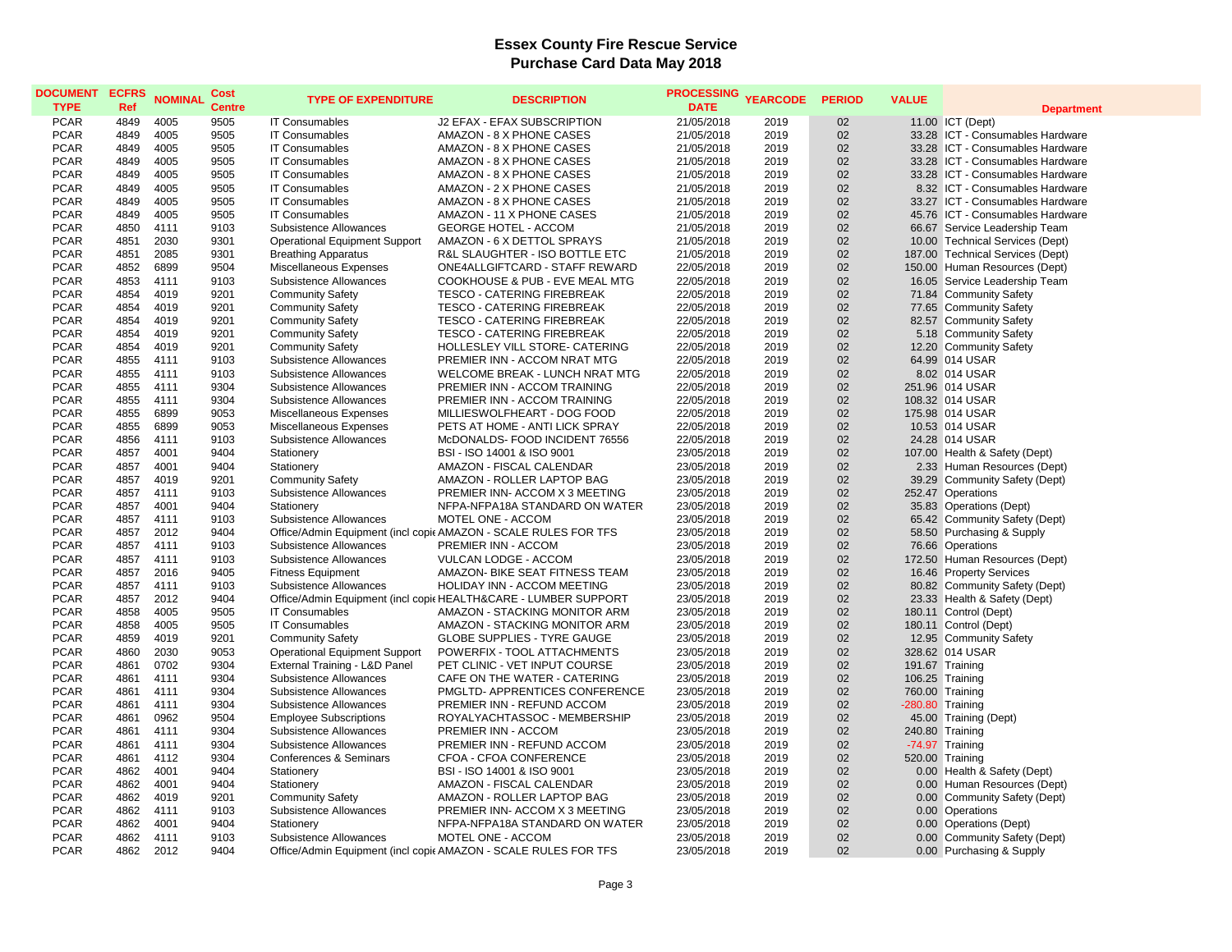| <b>DOCUMENT</b><br><b>TYPE</b> | <b>ECFRS</b><br>Ref | <b>NOMINAL</b> | Cost<br><b>Centre</b> | <b>TYPE OF EXPENDITURE</b>           | <b>DESCRIPTION</b>                                              | PROCESSING YEARCODE<br><b>DATE</b> |      | <b>PERIOD</b> | <b>VALUE</b> | <b>Department</b>                |
|--------------------------------|---------------------|----------------|-----------------------|--------------------------------------|-----------------------------------------------------------------|------------------------------------|------|---------------|--------------|----------------------------------|
| <b>PCAR</b>                    | 4849                | 4005           | 9505                  | <b>IT Consumables</b>                | J2 EFAX - EFAX SUBSCRIPTION                                     | 21/05/2018                         | 2019 | 02            |              | 11.00 ICT (Dept)                 |
| <b>PCAR</b>                    | 4849                | 4005           | 9505                  | <b>IT Consumables</b>                | AMAZON - 8 X PHONE CASES                                        | 21/05/2018                         | 2019 | 02            |              | 33.28 ICT - Consumables Hardware |
| <b>PCAR</b>                    | 4849                | 4005           | 9505                  | <b>IT Consumables</b>                | AMAZON - 8 X PHONE CASES                                        | 21/05/2018                         | 2019 | 02            |              | 33.28 ICT - Consumables Hardware |
| <b>PCAR</b>                    | 4849                | 4005           | 9505                  | <b>IT Consumables</b>                | AMAZON - 8 X PHONE CASES                                        | 21/05/2018                         | 2019 | 02            |              | 33.28 ICT - Consumables Hardware |
| <b>PCAR</b>                    | 4849                | 4005           | 9505                  | <b>IT Consumables</b>                | AMAZON - 8 X PHONE CASES                                        | 21/05/2018                         | 2019 | 02            |              | 33.28 ICT - Consumables Hardware |
| <b>PCAR</b>                    | 4849                | 4005           | 9505                  | <b>IT Consumables</b>                | AMAZON - 2 X PHONE CASES                                        | 21/05/2018                         | 2019 | 02            |              | 8.32 ICT - Consumables Hardware  |
| <b>PCAR</b>                    | 4849                | 4005           | 9505                  | <b>IT Consumables</b>                | AMAZON - 8 X PHONE CASES                                        | 21/05/2018                         | 2019 | 02            |              | 33.27 ICT - Consumables Hardware |
| <b>PCAR</b>                    | 4849                | 4005           | 9505                  | <b>IT Consumables</b>                | AMAZON - 11 X PHONE CASES                                       | 21/05/2018                         | 2019 | 02            |              | 45.76 ICT - Consumables Hardware |
| <b>PCAR</b>                    | 4850                | 4111           | 9103                  | Subsistence Allowances               | <b>GEORGE HOTEL - ACCOM</b>                                     | 21/05/2018                         | 2019 | 02            |              | 66.67 Service Leadership Team    |
| <b>PCAR</b>                    | 4851                | 2030           | 9301                  | <b>Operational Equipment Support</b> | AMAZON - 6 X DETTOL SPRAYS                                      | 21/05/2018                         | 2019 | 02            |              | 10.00 Technical Services (Dept)  |
| <b>PCAR</b>                    | 4851                | 2085           | 9301                  | <b>Breathing Apparatus</b>           | R&L SLAUGHTER - ISO BOTTLE ETC                                  | 21/05/2018                         | 2019 | 02            |              | 187.00 Technical Services (Dept) |
| <b>PCAR</b>                    | 4852                | 6899           | 9504                  | Miscellaneous Expenses               | ONE4ALLGIFTCARD - STAFF REWARD                                  | 22/05/2018                         | 2019 | 02            |              | 150.00 Human Resources (Dept)    |
| <b>PCAR</b>                    | 4853                | 4111           | 9103                  | Subsistence Allowances               | COOKHOUSE & PUB - EVE MEAL MTG                                  | 22/05/2018                         | 2019 | 02            |              | 16.05 Service Leadership Team    |
| <b>PCAR</b>                    | 4854                | 4019           | 9201                  | <b>Community Safety</b>              | <b>TESCO - CATERING FIREBREAK</b>                               | 22/05/2018                         | 2019 | 02            |              | 71.84 Community Safety           |
| <b>PCAR</b>                    | 4854                | 4019           | 9201                  | <b>Community Safety</b>              | <b>TESCO - CATERING FIREBREAK</b>                               | 22/05/2018                         | 2019 | 02            |              | 77.65 Community Safety           |
| <b>PCAR</b>                    | 4854                | 4019           | 9201                  | <b>Community Safety</b>              | TESCO - CATERING FIREBREAK                                      | 22/05/2018                         | 2019 | 02            |              | 82.57 Community Safety           |
| <b>PCAR</b>                    | 4854                | 4019           | 9201                  | <b>Community Safety</b>              | <b>TESCO - CATERING FIREBREAK</b>                               | 22/05/2018                         | 2019 | 02            |              | 5.18 Community Safety            |
| <b>PCAR</b>                    | 4854                | 4019           | 9201                  | <b>Community Safety</b>              | HOLLESLEY VILL STORE- CATERING                                  | 22/05/2018                         | 2019 | 02            |              | 12.20 Community Safety           |
| <b>PCAR</b>                    | 4855                | 4111           | 9103                  | Subsistence Allowances               | PREMIER INN - ACCOM NRAT MTG                                    | 22/05/2018                         | 2019 | 02            |              | 64.99 014 USAR                   |
| <b>PCAR</b>                    | 4855                | 4111           | 9103                  | Subsistence Allowances               | WELCOME BREAK - LUNCH NRAT MTG                                  | 22/05/2018                         | 2019 | 02            |              | 8.02 014 USAR                    |
| <b>PCAR</b>                    | 4855                | 4111           | 9304                  | Subsistence Allowances               | PREMIER INN - ACCOM TRAINING                                    | 22/05/2018                         | 2019 | 02            |              | 251.96 014 USAR                  |
| <b>PCAR</b>                    | 4855                | 4111           | 9304                  | Subsistence Allowances               | PREMIER INN - ACCOM TRAINING                                    | 22/05/2018                         | 2019 | 02            |              | 108.32 014 USAR                  |
| <b>PCAR</b>                    | 4855                | 6899           | 9053                  | Miscellaneous Expenses               | MILLIESWOLFHEART - DOG FOOD                                     | 22/05/2018                         | 2019 | 02            |              | 175.98 014 USAR                  |
| <b>PCAR</b>                    | 4855                | 6899           | 9053                  | Miscellaneous Expenses               | PETS AT HOME - ANTI LICK SPRAY                                  | 22/05/2018                         | 2019 | 02            |              | 10.53 014 USAR                   |
| <b>PCAR</b>                    | 4856                | 4111           | 9103                  | Subsistence Allowances               | McDONALDS- FOOD INCIDENT 76556                                  | 22/05/2018                         | 2019 | 02            |              | 24.28 014 USAR                   |
| <b>PCAR</b>                    | 4857                | 4001           | 9404                  | Stationery                           | BSI - ISO 14001 & ISO 9001                                      | 23/05/2018                         | 2019 | 02            |              | 107.00 Health & Safety (Dept)    |
| <b>PCAR</b>                    | 4857                | 4001           | 9404                  | Stationery                           | AMAZON - FISCAL CALENDAR                                        | 23/05/2018                         | 2019 | 02            |              | 2.33 Human Resources (Dept)      |
| <b>PCAR</b>                    | 4857                | 4019           | 9201                  | <b>Community Safety</b>              | AMAZON - ROLLER LAPTOP BAG                                      | 23/05/2018                         | 2019 | 02            |              | 39.29 Community Safety (Dept)    |
| <b>PCAR</b>                    | 4857                | 4111           | 9103                  | Subsistence Allowances               | PREMIER INN- ACCOM X 3 MEETING                                  | 23/05/2018                         | 2019 | 02            |              | 252.47 Operations                |
| <b>PCAR</b>                    | 4857                | 4001           | 9404                  | Stationery                           | NFPA-NFPA18A STANDARD ON WATER                                  | 23/05/2018                         | 2019 | 02            |              | 35.83 Operations (Dept)          |
| <b>PCAR</b>                    | 4857                | 4111           | 9103                  | Subsistence Allowances               | MOTEL ONE - ACCOM                                               | 23/05/2018                         | 2019 | 02            |              | 65.42 Community Safety (Dept)    |
| <b>PCAR</b>                    | 4857                | 2012           | 9404                  |                                      | Office/Admin Equipment (incl copic AMAZON - SCALE RULES FOR TFS | 23/05/2018                         | 2019 | 02            |              | 58.50 Purchasing & Supply        |
| <b>PCAR</b>                    | 4857                | 4111           | 9103                  | Subsistence Allowances               | PREMIER INN - ACCOM                                             | 23/05/2018                         | 2019 | 02            |              | 76.66 Operations                 |
| <b>PCAR</b>                    | 4857                | 4111           | 9103                  | Subsistence Allowances               | VULCAN LODGE - ACCOM                                            | 23/05/2018                         | 2019 | 02            |              | 172.50 Human Resources (Dept)    |
| <b>PCAR</b>                    | 4857                | 2016           | 9405                  | <b>Fitness Equipment</b>             | AMAZON- BIKE SEAT FITNESS TEAM                                  | 23/05/2018                         | 2019 | 02            |              | 16.46 Property Services          |
| <b>PCAR</b>                    | 4857                | 4111           | 9103                  | Subsistence Allowances               | HOLIDAY INN - ACCOM MEETING                                     | 23/05/2018                         | 2019 | 02            |              | 80.82 Community Safety (Dept)    |
| <b>PCAR</b>                    | 4857                | 2012           | 9404                  |                                      | Office/Admin Equipment (incl copic HEALTH&CARE - LUMBER SUPPORT | 23/05/2018                         | 2019 | 02            |              | 23.33 Health & Safety (Dept)     |
| <b>PCAR</b>                    | 4858                | 4005           | 9505                  | <b>IT Consumables</b>                | AMAZON - STACKING MONITOR ARM                                   | 23/05/2018                         | 2019 | 02            |              | 180.11 Control (Dept)            |
| <b>PCAR</b>                    | 4858                | 4005           | 9505                  | <b>IT Consumables</b>                | AMAZON - STACKING MONITOR ARM                                   | 23/05/2018                         | 2019 | 02            |              | 180.11 Control (Dept)            |
| <b>PCAR</b>                    | 4859                | 4019           | 9201                  | <b>Community Safety</b>              | <b>GLOBE SUPPLIES - TYRE GAUGE</b>                              | 23/05/2018                         | 2019 | 02            |              | 12.95 Community Safety           |
| <b>PCAR</b>                    | 4860                | 2030           | 9053                  | <b>Operational Equipment Support</b> | POWERFIX - TOOL ATTACHMENTS                                     | 23/05/2018                         | 2019 | 02            |              | 328.62 014 USAR                  |
| <b>PCAR</b>                    | 4861                | 0702           | 9304                  | External Training - L&D Panel        | PET CLINIC - VET INPUT COURSE                                   | 23/05/2018                         | 2019 | 02            |              | 191.67 Training                  |
| <b>PCAR</b>                    | 4861                | 4111           | 9304                  | Subsistence Allowances               | CAFE ON THE WATER - CATERING                                    | 23/05/2018                         | 2019 | 02            |              | 106.25 Training                  |
| <b>PCAR</b>                    | 4861                | 4111           | 9304                  | Subsistence Allowances               | PMGLTD- APPRENTICES CONFERENCE                                  | 23/05/2018                         | 2019 | 02            |              | 760.00 Training                  |
| <b>PCAR</b>                    | 4861                | 4111           | 9304                  | Subsistence Allowances               | PREMIER INN - REFUND ACCOM                                      | 23/05/2018                         | 2019 | 02            |              | -280.80 Training                 |
| <b>PCAR</b>                    | 4861                | 0962           | 9504                  | <b>Employee Subscriptions</b>        | ROYALYACHTASSOC - MEMBERSHIP                                    | 23/05/2018                         | 2019 | 02            |              | 45.00 Training (Dept)            |
| <b>PCAR</b>                    | 4861                | 4111           | 9304                  | Subsistence Allowances               | PREMIER INN - ACCOM                                             | 23/05/2018                         | 2019 | 02            |              | 240.80 Training                  |
| <b>PCAR</b>                    | 4861                | 4111           | 9304                  | Subsistence Allowances               | PREMIER INN - REFUND ACCOM                                      | 23/05/2018                         | 2019 | 02            |              | -74.97 Training                  |
| <b>PCAR</b>                    | 4861                | 4112           | 9304                  | Conferences & Seminars               | CFOA - CFOA CONFERENCE                                          | 23/05/2018                         | 2019 | 02            |              | 520.00 Training                  |
| <b>PCAR</b>                    | 4862                | 4001           | 9404                  | Stationery                           | BSI - ISO 14001 & ISO 9001                                      | 23/05/2018                         | 2019 | 02            |              | 0.00 Health & Safety (Dept)      |
| <b>PCAR</b>                    | 4862                | 4001           | 9404                  | Stationery                           | AMAZON - FISCAL CALENDAR                                        | 23/05/2018                         | 2019 | 02            |              | 0.00 Human Resources (Dept)      |
| <b>PCAR</b>                    | 4862                | 4019           | 9201                  | <b>Community Safety</b>              | AMAZON - ROLLER LAPTOP BAG                                      | 23/05/2018                         | 2019 | 02            |              | 0.00 Community Safety (Dept)     |
| <b>PCAR</b>                    | 4862                | 4111           | 9103                  | Subsistence Allowances               | PREMIER INN- ACCOM X 3 MEETING                                  | 23/05/2018                         | 2019 | 02            |              | 0.00 Operations                  |
| <b>PCAR</b>                    | 4862                | 4001           | 9404                  | Stationery                           | NFPA-NFPA18A STANDARD ON WATER                                  | 23/05/2018                         | 2019 | 02            |              | 0.00 Operations (Dept)           |
| <b>PCAR</b>                    | 4862                | 4111           | 9103                  | Subsistence Allowances               | MOTEL ONE - ACCOM                                               | 23/05/2018                         | 2019 | 02            |              | 0.00 Community Safety (Dept)     |
| <b>PCAR</b>                    | 4862                | 2012           | 9404                  |                                      | Office/Admin Equipment (incl copic AMAZON - SCALE RULES FOR TFS | 23/05/2018                         | 2019 | 02            |              | 0.00 Purchasing & Supply         |